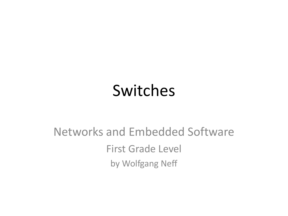#### Switches

#### Networks and Embedded Software First Grade Level by Wolfgang Neff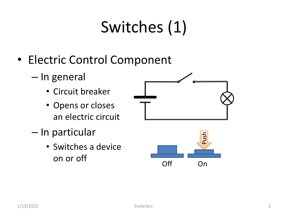## Switches (1)

- Electric Control Component
	- In general
		- Circuit breaker
		- Opens or closes an electric circuit
	- In particular
		- Switches a device on or off



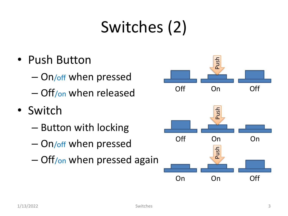#### Switches (2)

- Push Button
	- On/off when pressed
	- Off/on when released
- Switch
	- Button with locking
	- On/off when pressed
	- Off/on when pressed again

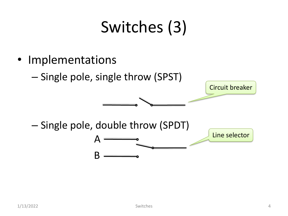#### Switches (3)

- Implementations
	- Single pole, single throw (SPST)

 $\boldsymbol{\mu}$ 

B

– Single pole, double throw (SPDT)

Line selector

Circuit breaker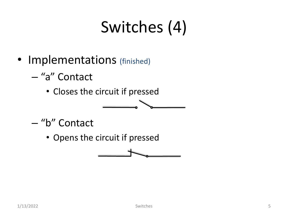### Switches (4)

- Implementations (finished)
	- "a" Contact
		- Closes the circuit if pressed
	- "b" Contact
		- Opens the circuit if pressed

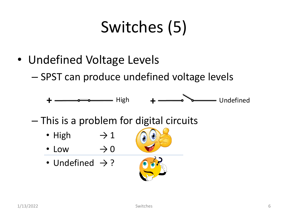### Switches (5)

- Undefined Voltage Levels
	- SPST can produce undefined voltage levels

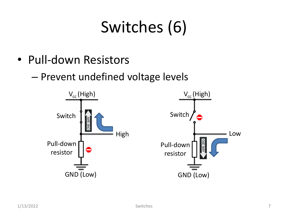## Switches (6)

- Pull-down Resistors
	- Prevent undefined voltage levels

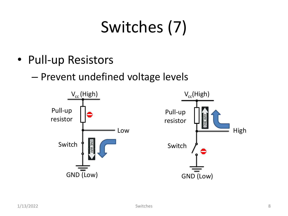# Switches (7)

- Pull-up Resistors
	- Prevent undefined voltage levels

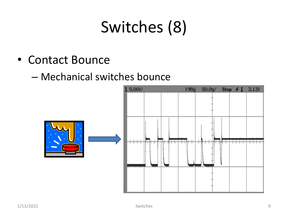#### Switches (8)

- Contact Bounce
	- Mechanical switches bounce